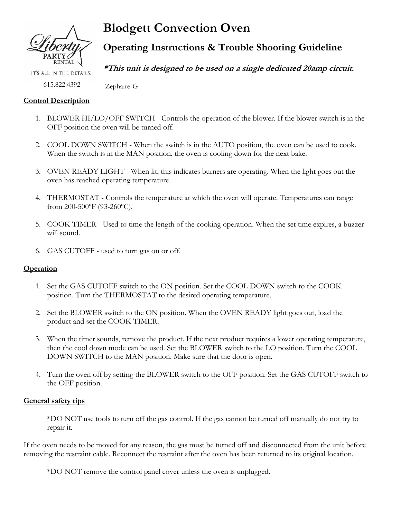

**Blodgett Convection Oven**

**Operating Instructions & Trouble Shooting Guideline**

**\*This unit is designed to be used on a single dedicated 20amp circuit.**

615.822.4392

IT'S ALL IN THE DETAILS.

## **Control Description**

- 1. BLOWER HI/LO/OFF SWITCH Controls the operation of the blower. If the blower switch is in the OFF position the oven will be turned off.
- 2. COOL DOWN SWITCH When the switch is in the AUTO position, the oven can be used to cook. When the switch is in the MAN position, the oven is cooling down for the next bake.
- 3. OVEN READY LIGHT When lit, this indicates burners are operating. When the light goes out the oven has reached operating temperature.
- 4. THERMOSTAT Controls the temperature at which the oven will operate. Temperatures can range from 200-500ºF (93-260ºC).
- 5. COOK TIMER Used to time the length of the cooking operation. When the set time expires, a buzzer will sound.
- 6. GAS CUTOFF used to turn gas on or off.

Zephaire-G

# **Operation**

- 1. Set the GAS CUTOFF switch to the ON position. Set the COOL DOWN switch to the COOK position. Turn the THERMOSTAT to the desired operating temperature.
- 2. Set the BLOWER switch to the ON position. When the OVEN READY light goes out, load the product and set the COOK TIMER.
- 3. When the timer sounds, remove the product. If the next product requires a lower operating temperature, then the cool down mode can be used. Set the BLOWER switch to the LO position. Turn the COOL DOWN SWITCH to the MAN position. Make sure that the door is open.
- 4. Turn the oven off by setting the BLOWER switch to the OFF position. Set the GAS CUTOFF switch to the OFF position.

# **General safety tips**

\*DO NOT use tools to turn off the gas control. If the gas cannot be turned off manually do not try to repair it.

If the oven needs to be moved for any reason, the gas must be turned off and disconnected from the unit before removing the restraint cable. Reconnect the restraint after the oven has been returned to its original location.

\*DO NOT remove the control panel cover unless the oven is unplugged.